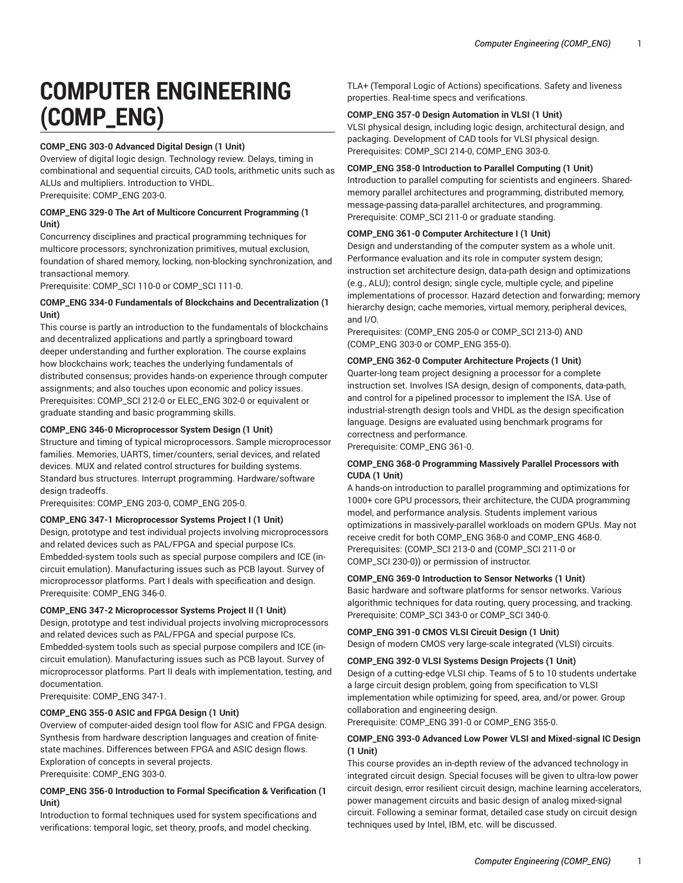# **COMPUTER ENGINEERING (COMP\_ENG)**

# **COMP\_ENG 303-0 Advanced Digital Design (1 Unit)**

Overview of digital logic design. Technology review. Delays, timing in combinational and sequential circuits, CAD tools, arithmetic units such as ALUs and multipliers. Introduction to VHDL. Prerequisite: COMP\_ENG 203-0.

## **COMP\_ENG 329-0 The Art of Multicore Concurrent Programming (1 Unit)**

Concurrency disciplines and practical programming techniques for multicore processors; synchronization primitives, mutual exclusion, foundation of shared memory, locking, non-blocking synchronization, and transactional memory.

Prerequisite: COMP\_SCI 110-0 or COMP\_SCI 111-0.

## **COMP\_ENG 334-0 Fundamentals of Blockchains and Decentralization (1 Unit)**

This course is partly an introduction to the fundamentals of blockchains and decentralized applications and partly a springboard toward deeper understanding and further exploration. The course explains how blockchains work; teaches the underlying fundamentals of distributed consensus; provides hands-on experience through computer assignments; and also touches upon economic and policy issues. Prerequisites: COMP\_SCI 212-0 or ELEC\_ENG 302-0 or equivalent or graduate standing and basic programming skills.

# **COMP\_ENG 346-0 Microprocessor System Design (1 Unit)**

Structure and timing of typical microprocessors. Sample microprocessor families. Memories, UARTS, timer/counters, serial devices, and related devices. MUX and related control structures for building systems. Standard bus structures. Interrupt programming. Hardware/software design tradeoffs.

Prerequisites: COMP\_ENG 203-0, COMP\_ENG 205-0.

## **COMP\_ENG 347-1 Microprocessor Systems Project I (1 Unit)**

Design, prototype and test individual projects involving microprocessors and related devices such as PAL/FPGA and special purpose ICs. Embedded-system tools such as special purpose compilers and ICE (incircuit emulation). Manufacturing issues such as PCB layout. Survey of microprocessor platforms. Part I deals with specification and design. Prerequisite: COMP\_ENG 346-0.

#### **COMP\_ENG 347-2 Microprocessor Systems Project II (1 Unit)**

Design, prototype and test individual projects involving microprocessors and related devices such as PAL/FPGA and special purpose ICs. Embedded-system tools such as special purpose compilers and ICE (incircuit emulation). Manufacturing issues such as PCB layout. Survey of microprocessor platforms. Part II deals with implementation, testing, and documentation.

Prerequisite: COMP\_ENG 347-1.

# **COMP\_ENG 355-0 ASIC and FPGA Design (1 Unit)**

Overview of computer-aided design tool flow for ASIC and FPGA design. Synthesis from hardware description languages and creation of finitestate machines. Differences between FPGA and ASIC design flows. Exploration of concepts in several projects. Prerequisite: COMP\_ENG 303-0.

## **COMP\_ENG 356-0 Introduction to Formal Specification & Verification (1 Unit)**

Introduction to formal techniques used for system specifications and verifications: temporal logic, set theory, proofs, and model checking.

TLA+ (Temporal Logic of Actions) specifications. Safety and liveness properties. Real-time specs and verifications.

## **COMP\_ENG 357-0 Design Automation in VLSI (1 Unit)**

VLSI physical design, including logic design, architectural design, and packaging. Development of CAD tools for VLSI physical design. Prerequisites: COMP\_SCI 214-0, COMP\_ENG 303-0.

## **COMP\_ENG 358-0 Introduction to Parallel Computing (1 Unit)**

Introduction to parallel computing for scientists and engineers. Sharedmemory parallel architectures and programming, distributed memory, message-passing data-parallel architectures, and programming. Prerequisite: COMP\_SCI 211-0 or graduate standing.

## **COMP\_ENG 361-0 Computer Architecture I (1 Unit)**

Design and understanding of the computer system as a whole unit. Performance evaluation and its role in computer system design; instruction set architecture design, data-path design and optimizations (e.g., ALU); control design; single cycle, multiple cycle, and pipeline implementations of processor. Hazard detection and forwarding; memory hierarchy design; cache memories, virtual memory, peripheral devices, and I/O.

Prerequisites: (COMP\_ENG 205-0 or COMP\_SCI 213-0) AND (COMP\_ENG 303-0 or COMP\_ENG 355-0).

## **COMP\_ENG 362-0 Computer Architecture Projects (1 Unit)**

Quarter-long team project designing a processor for a complete instruction set. Involves ISA design, design of components, data-path, and control for a pipelined processor to implement the ISA. Use of industrial-strength design tools and VHDL as the design specification language. Designs are evaluated using benchmark programs for correctness and performance.

Prerequisite: COMP\_ENG 361-0.

#### **COMP\_ENG 368-0 Programming Massively Parallel Processors with CUDA (1 Unit)**

A hands-on introduction to parallel programming and optimizations for 1000+ core GPU processors, their architecture, the CUDA programming model, and performance analysis. Students implement various optimizations in massively-parallel workloads on modern GPUs. May not receive credit for both COMP\_ENG 368-0 and COMP\_ENG 468-0. Prerequisites: (COMP\_SCI 213-0 and (COMP\_SCI 211-0 or COMP\_SCI 230-0)) or permission of instructor.

# **COMP\_ENG 369-0 Introduction to Sensor Networks (1 Unit)**

Basic hardware and software platforms for sensor networks. Various algorithmic techniques for data routing, query processing, and tracking. Prerequisite: COMP\_SCI 343-0 or COMP\_SCI 340-0.

**COMP\_ENG 391-0 CMOS VLSI Circuit Design (1 Unit)**  Design of modern CMOS very large-scale integrated (VLSI) circuits.

#### **COMP\_ENG 392-0 VLSI Systems Design Projects (1 Unit)**

Design of a cutting-edge VLSI chip. Teams of 5 to 10 students undertake a large circuit design problem, going from specification to VLSI implementation while optimizing for speed, area, and/or power. Group collaboration and engineering design.

Prerequisite: COMP\_ENG 391-0 or COMP\_ENG 355-0.

## **COMP\_ENG 393-0 Advanced Low Power VLSI and Mixed-signal IC Design (1 Unit)**

This course provides an in-depth review of the advanced technology in integrated circuit design. Special focuses will be given to ultra-low power circuit design, error resilient circuit design, machine learning accelerators, power management circuits and basic design of analog mixed-signal circuit. Following a seminar format, detailed case study on circuit design techniques used by Intel, IBM, etc. will be discussed.